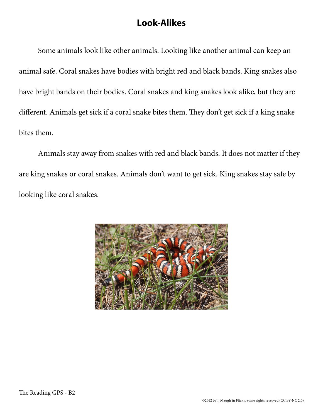## **Look-Alikes**

Some animals look like other animals. Looking like another animal can keep an animal safe. Coral snakes have bodies with bright red and black bands. King snakes also have bright bands on their bodies. Coral snakes and king snakes look alike, but they are different. Animals get sick if a coral snake bites them. They don't get sick if a king snake bites them.

Animals stay away from snakes with red and black bands. It does not matter if they are king snakes or coral snakes. Animals don't want to get sick. King snakes stay safe by looking like coral snakes.